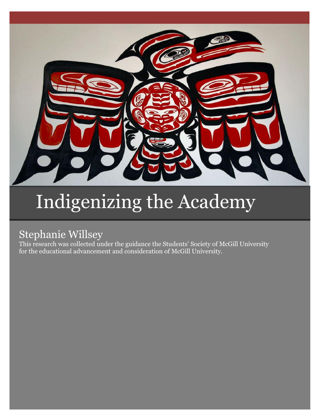

# Indigenizing the Academy

# Stephanie Willsey

This research was collected under the guidance the Students' Society of McGill University for the educational advancement and consideration of McGill University.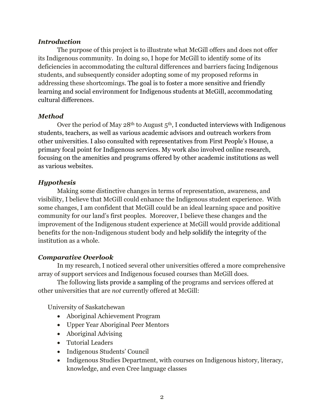#### *Introduction*

The purpose of this project is to illustrate what McGill offers and does not offer its Indigenous community. In doing so, I hope for McGill to identify some of its deficiencies in accommodating the cultural differences and barriers facing Indigenous students, and subsequently consider adopting some of my proposed reforms in addressing these shortcomings. The goal is to foster a more sensitive and friendly learning and social environment for Indigenous students at McGill, accommodating cultural differences.

### *Method*

Over the period of May  $28<sup>th</sup>$  to August  $5<sup>th</sup>$ , I conducted interviews with Indigenous students, teachers, as well as various academic advisors and outreach workers from other universities. I also consulted with representatives from First People's House, a primary focal point for Indigenous services. My work also involved online research, focusing on the amenities and programs offered by other academic institutions as well as various websites.

## *Hypothesis*

Making some distinctive changes in terms of representation, awareness, and visibility, I believe that McGill could enhance the Indigenous student experience. With some changes, I am confident that McGill could be an ideal learning space and positive community for our land's first peoples. Moreover, I believe these changes and the improvement of the Indigenous student experience at McGill would provide additional benefits for the non-Indigenous student body and help solidify the integrity of the institution as a whole.

### *Comparative Overlook*

In my research, I noticed several other universities offered a more comprehensive array of support services and Indigenous focused courses than McGill does.

The following lists provide a sampling of the programs and services offered at other universities that are *not* currently offered at McGill:

University of Saskatchewan

- Aboriginal Achievement Program
- Upper Year Aboriginal Peer Mentors
- Aboriginal Advising
- Tutorial Leaders
- Indigenous Students' Council
- Indigenous Studies Department, with courses on Indigenous history, literacy, knowledge, and even Cree language classes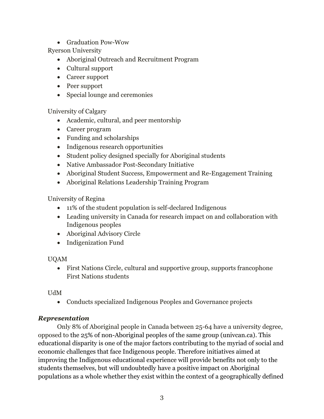Graduation Pow-Wow

Ryerson University

- Aboriginal Outreach and Recruitment Program
- Cultural support
- Career support
- Peer support
- Special lounge and ceremonies

University of Calgary

- Academic, cultural, and peer mentorship
- Career program
- Funding and scholarships
- Indigenous research opportunities
- Student policy designed specially for Aboriginal students
- Native Ambassador Post-Secondary Initiative
- Aboriginal Student Success, Empowerment and Re-Engagement Training
- Aboriginal Relations Leadership Training Program

University of Regina

- 11% of the student population is self-declared Indigenous
- Leading university in Canada for research impact on and collaboration with Indigenous peoples
- Aboriginal Advisory Circle
- Indigenization Fund

# UQAM

 First Nations Circle, cultural and supportive group, supports francophone First Nations students

# UdM

Conducts specialized Indigenous Peoples and Governance projects

# *Representation*

Only 8% of Aboriginal people in Canada between 25-64 have a university degree, opposed to the 25% of non-Aboriginal peoples of the same group (univcan.ca). This educational disparity is one of the major factors contributing to the myriad of social and economic challenges that face Indigenous people. Therefore initiatives aimed at improving the Indigenous educational experience will provide benefits not only to the students themselves, but will undoubtedly have a positive impact on Aboriginal populations as a whole whether they exist within the context of a geographically defined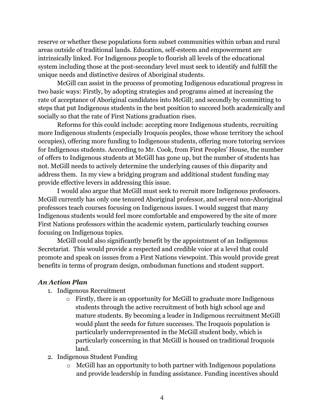reserve or whether these populations form subset communities within urban and rural areas outside of traditional lands. Education, self-esteem and empowerment are intrinsically linked. For Indigenous people to flourish all levels of the educational system including those at the post-secondary level must seek to identify and fulfill the unique needs and distinctive desires of Aboriginal students.

McGill can assist in the process of promoting Indigenous educational progress in two basic ways: Firstly, by adopting strategies and programs aimed at increasing the rate of acceptance of Aboriginal candidates into McGill; and secondly by committing to steps that put Indigenous students in the best position to succeed both academically and socially so that the rate of First Nations graduation rises.

Reforms for this could include: accepting more Indigenous students, recruiting more Indigenous students (especially Iroquois peoples, those whose territory the school occupies), offering more funding to Indigenous students, offering more tutoring services for Indigenous students. According to Mr. Cook, from First Peoples' House, the number of offers to Indigenous students at McGill has gone up, but the number of students has not. McGill needs to actively determine the underlying causes of this disparity and address them. In my view a bridging program and additional student funding may provide effective levers in addressing this issue.

I would also argue that McGill must seek to recruit more Indigenous professors. McGill currently has only one tenured Aboriginal professor, and several non-Aboriginal professors teach courses focusing on Indigenous issues. I would suggest that many Indigenous students would feel more comfortable and empowered by the site of more First Nations professors within the academic system, particularly teaching courses focusing on Indigenous topics.

McGill could also significantly benefit by the appointment of an Indigenous Secretariat. This would provide a respected and credible voice at a level that could promote and speak on issues from a First Nations viewpoint. This would provide great benefits in terms of program design, ombudsman functions and student support.

### *An Action Plan*

- 1. Indigenous Recruitment
	- o Firstly, there is an opportunity for McGill to graduate more Indigenous students through the active recruitment of both high school age and mature students. By becoming a leader in Indigenous recruitment McGill would plant the seeds for future successes. The Iroquois population is particularly underrepresented in the McGill student body, which is particularly concerning in that McGill is housed on traditional Iroquois land.
- 2. Indigenous Student Funding
	- o McGill has an opportunity to both partner with Indigenous populations and provide leadership in funding assistance. Funding incentives should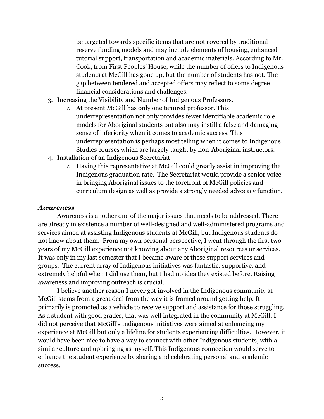be targeted towards specific items that are not covered by traditional reserve funding models and may include elements of housing, enhanced tutorial support, transportation and academic materials. According to Mr. Cook, from First Peoples' House, while the number of offers to Indigenous students at McGill has gone up, but the number of students has not. The gap between tendered and accepted offers may reflect to some degree financial considerations and challenges.

- 3. Increasing the Visibility and Number of Indigenous Professors.
	- o At present McGill has only one tenured professor. This underrepresentation not only provides fewer identifiable academic role models for Aboriginal students but also may instill a false and damaging sense of inferiority when it comes to academic success. This underrepresentation is perhaps most telling when it comes to Indigenous Studies courses which are largely taught by non-Aboriginal instructors.
- 4. Installation of an Indigenous Secretariat
	- o Having this representative at McGill could greatly assist in improving the Indigenous graduation rate. The Secretariat would provide a senior voice in bringing Aboriginal issues to the forefront of McGill policies and curriculum design as well as provide a strongly needed advocacy function.

#### *Awareness*

Awareness is another one of the major issues that needs to be addressed. There are already in existence a number of well-designed and well-administered programs and services aimed at assisting Indigenous students at McGill, but Indigenous students do not know about them. From my own personal perspective, I went through the first two years of my McGill experience not knowing about any Aboriginal resources or services. It was only in my last semester that I became aware of these support services and groups. The current array of Indigenous initiatives was fantastic, supportive, and extremely helpful when I did use them, but I had no idea they existed before. Raising awareness and improving outreach is crucial.

I believe another reason I never got involved in the Indigenous community at McGill stems from a great deal from the way it is framed around getting help. It primarily is promoted as a vehicle to receive support and assistance for those struggling. As a student with good grades, that was well integrated in the community at McGill, I did not perceive that McGill's Indigenous initiatives were aimed at enhancing my experience at McGill but only a lifeline for students experiencing difficulties. However, it would have been nice to have a way to connect with other Indigenous students, with a similar culture and upbringing as myself. This Indigenous connection would serve to enhance the student experience by sharing and celebrating personal and academic success.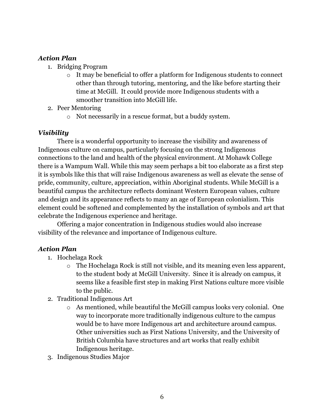### *Action Plan*

- 1. Bridging Program
	- o It may be beneficial to offer a platform for Indigenous students to connect other than through tutoring, mentoring, and the like before starting their time at McGill. It could provide more Indigenous students with a smoother transition into McGill life.
- 2. Peer Mentoring
	- o Not necessarily in a rescue format, but a buddy system.

#### *Visibility*

There is a wonderful opportunity to increase the visibility and awareness of Indigenous culture on campus, particularly focusing on the strong Indigenous connections to the land and health of the physical environment. At Mohawk College there is a Wampum Wall. While this may seem perhaps a bit too elaborate as a first step it is symbols like this that will raise Indigenous awareness as well as elevate the sense of pride, community, culture, appreciation, within Aboriginal students. While McGill is a beautiful campus the architecture reflects dominant Western European values, culture and design and its appearance reflects to many an age of European colonialism. This element could be softened and complemented by the installation of symbols and art that celebrate the Indigenous experience and heritage.

Offering a major concentration in Indigenous studies would also increase visibility of the relevance and importance of Indigenous culture.

#### *Action Plan*

- 1. Hochelaga Rock
	- o The Hochelaga Rock is still not visible, and its meaning even less apparent, to the student body at McGill University. Since it is already on campus, it seems like a feasible first step in making First Nations culture more visible to the public.
- 2. Traditional Indigenous Art
	- o As mentioned, while beautiful the McGill campus looks very colonial. One way to incorporate more traditionally indigenous culture to the campus would be to have more Indigenous art and architecture around campus. Other universities such as First Nations University, and the University of British Columbia have structures and art works that really exhibit Indigenous heritage.
- 3. Indigenous Studies Major